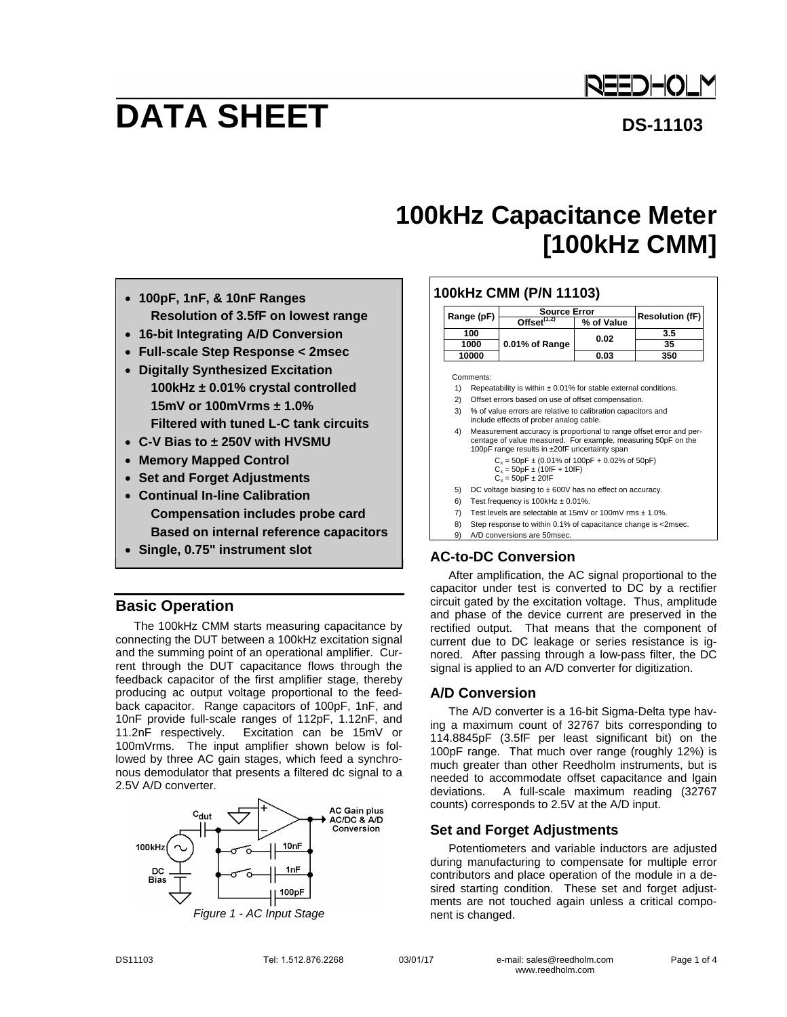

# **DATA SHEET** DS-11103

# **100kHz Capacitance Meter [100kHz CMM]**

- **100pF, 1nF, & 10nF Ranges Resolution of 3.5fF on lowest range**
- **16-bit Integrating A/D Conversion**
- **Full-scale Step Response < 2msec**
- **Digitally Synthesized Excitation 100kHz ± 0.01% crystal controlled 15mV or 100mVrms ± 1.0% Filtered with tuned L-C tank circuits**
- **C-V Bias to ± 250V with HVSMU**
- **Memory Mapped Control**
- **Set and Forget Adjustments**
- **Continual In-line Calibration Compensation includes probe card Based on internal reference capacitors**
- **Single, 0.75" instrument slot**

# **Basic Operation**

The 100kHz CMM starts measuring capacitance by connecting the DUT between a 100kHz excitation signal and the summing point of an operational amplifier. Current through the DUT capacitance flows through the feedback capacitor of the first amplifier stage, thereby producing ac output voltage proportional to the feedback capacitor. Range capacitors of 100pF, 1nF, and 10nF provide full-scale ranges of 112pF, 1.12nF, and 11.2nF respectively. Excitation can be 15mV or 100mVrms. The input amplifier shown below is followed by three AC gain stages, which feed a synchronous demodulator that presents a filtered dc signal to a 2.5V A/D converter.



*Figure 1 - AC Input Stage* 

#### **100kHz CMM (P/N 11103) Range (pF) Source Error**<br> **Offset<sup>(1,2)</sup> % of Value Resolution (fF)**<br> **A 88 100 100 100 100 110 110 110 110 110 110 110 110 110 110 110 110 110 110 110 110 110 110 110 110 100 3.5 <sup>1000</sup>0.02 35 0.01% of Range 10000 0.03 350** Comments: 1) Repeatability is within  $\pm$  0.01% for stable external conditions. 2) Offset errors based on use of offset compensation. 3) % of value errors are relative to calibration capacitors and

- include effects of prober analog cable. 4) Measurement accuracy is proportional to range offset error and percentage of value measured. For example, measuring 50pF on the 100pF range results in ±20fF uncertainty span  $C_x = 50pF \pm (0.01\% \text{ of } 100pF + 0.02\% \text{ of } 50pF)$  $C_v = 50pF + (10fF + 10fF)$  $C_x = 50pF \pm 20fF$ 5) DC voltage biasing to  $\pm$  600V has no effect on accuracy. 6) Test frequency is  $100$ kHz  $\pm$  0.01%. 7) Test levels are selectable at 15mV or 100mV rms ± 1.0%.
- 8) Step response to within 0.1% of capacitance change is <2msec.
- 9) A/D conversions are 50msec.

# **AC-to-DC Conversion**

After amplification, the AC signal proportional to the capacitor under test is converted to DC by a rectifier circuit gated by the excitation voltage. Thus, amplitude and phase of the device current are preserved in the rectified output. That means that the component of current due to DC leakage or series resistance is ignored. After passing through a low-pass filter, the DC signal is applied to an A/D converter for digitization.

# **A/D Conversion**

The A/D converter is a 16-bit Sigma-Delta type having a maximum count of 32767 bits corresponding to 114.8845pF (3.5fF per least significant bit) on the 100pF range. That much over range (roughly 12%) is much greater than other Reedholm instruments, but is needed to accommodate offset capacitance and lgain deviations. A full-scale maximum reading (32767 counts) corresponds to 2.5V at the A/D input.

# **Set and Forget Adjustments**

Potentiometers and variable inductors are adjusted during manufacturing to compensate for multiple error contributors and place operation of the module in a desired starting condition. These set and forget adjustments are not touched again unless a critical component is changed.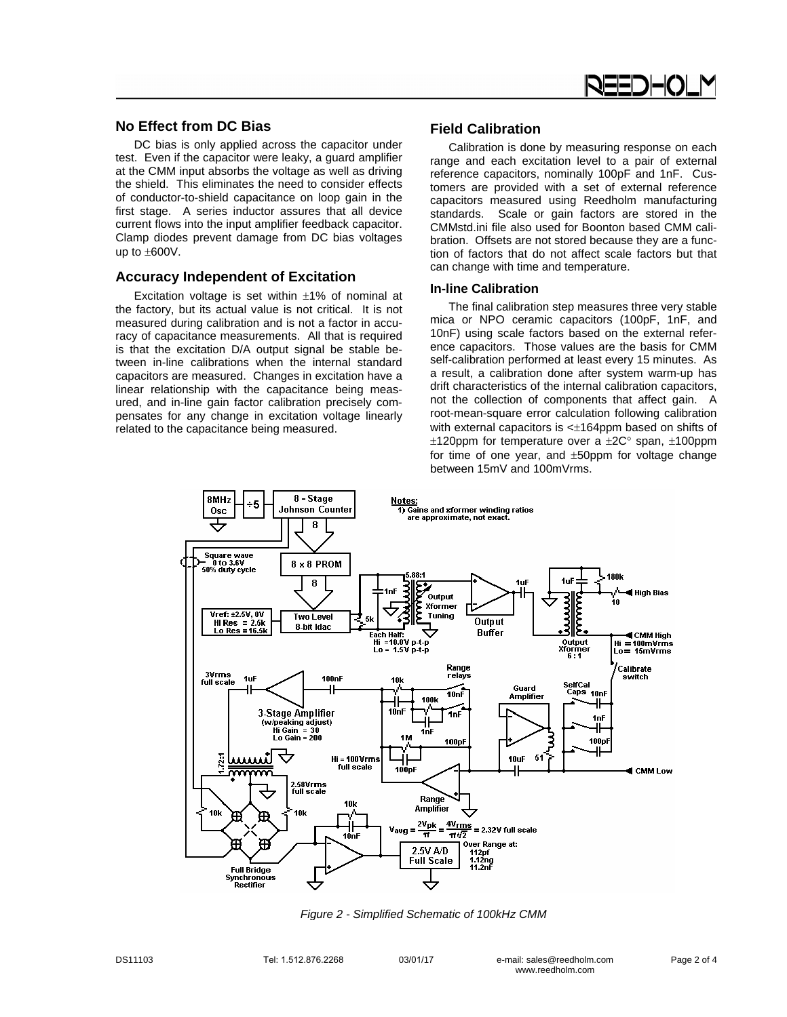

# **No Effect from DC Bias**

DC bias is only applied across the capacitor under test. Even if the capacitor were leaky, a guard amplifier at the CMM input absorbs the voltage as well as driving the shield. This eliminates the need to consider effects of conductor-to-shield capacitance on loop gain in the first stage. A series inductor assures that all device current flows into the input amplifier feedback capacitor. Clamp diodes prevent damage from DC bias voltages up to  $\pm 600V$ .

#### **Accuracy Independent of Excitation**

Excitation voltage is set within  $\pm 1\%$  of nominal at the factory, but its actual value is not critical. It is not measured during calibration and is not a factor in accuracy of capacitance measurements. All that is required is that the excitation D/A output signal be stable between in-line calibrations when the internal standard capacitors are measured. Changes in excitation have a linear relationship with the capacitance being measured, and in-line gain factor calibration precisely compensates for any change in excitation voltage linearly related to the capacitance being measured.

#### **Field Calibration**

Calibration is done by measuring response on each range and each excitation level to a pair of external reference capacitors, nominally 100pF and 1nF. Customers are provided with a set of external reference capacitors measured using Reedholm manufacturing standards. Scale or gain factors are stored in the CMMstd.ini file also used for Boonton based CMM calibration. Offsets are not stored because they are a function of factors that do not affect scale factors but that can change with time and temperature.

#### **In-line Calibration**

The final calibration step measures three very stable mica or NPO ceramic capacitors (100pF, 1nF, and 10nF) using scale factors based on the external reference capacitors. Those values are the basis for CMM self-calibration performed at least every 15 minutes. As a result, a calibration done after system warm-up has drift characteristics of the internal calibration capacitors, not the collection of components that affect gain. A root-mean-square error calculation following calibration with external capacitors is  $\leq$  164ppm based on shifts of  $±120$ ppm for temperature over a  $±2C°$  span,  $±100$ ppm for time of one year, and  $\pm 50$ ppm for voltage change between 15mV and 100mVrms.



*Figure 2 - Simplified Schematic of 100kHz CMM*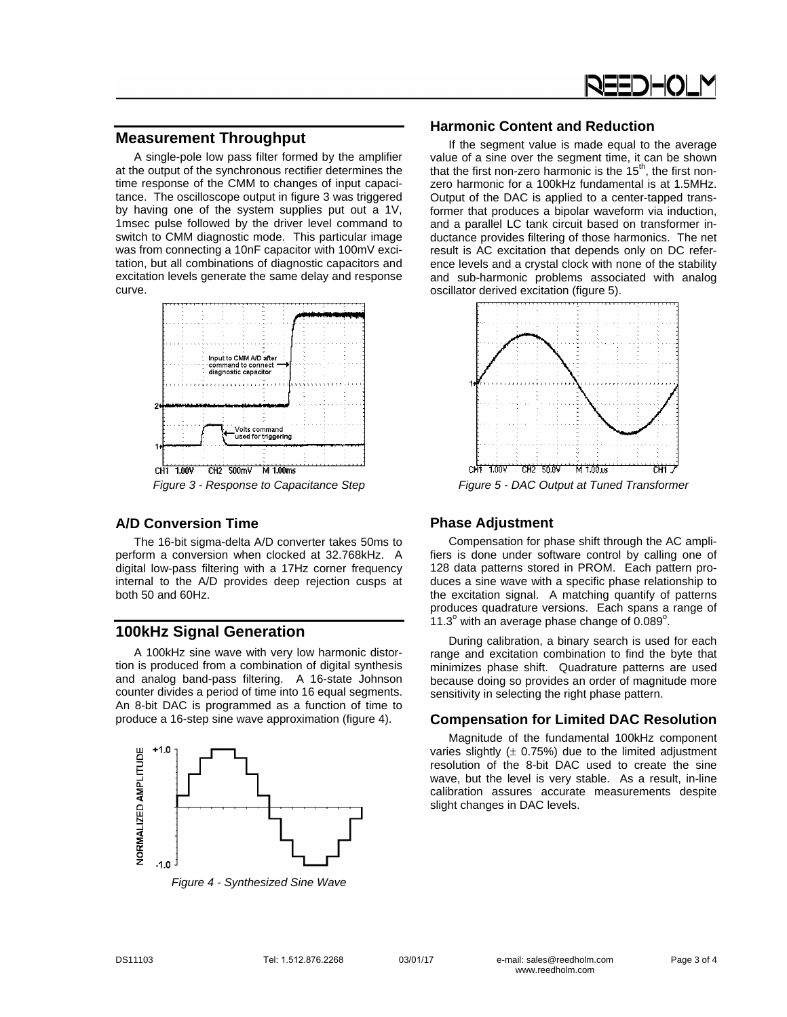

# **Measurement Throughput**

A single-pole low pass filter formed by the amplifier at the output of the synchronous rectifier determines the time response of the CMM to changes of input capacitance. The oscilloscope output in figure 3 was triggered by having one of the system supplies put out a 1V, 1msec pulse followed by the driver level command to switch to CMM diagnostic mode. This particular image was from connecting a 10nF capacitor with 100mV excitation, but all combinations of diagnostic capacitors and excitation levels generate the same delay and response curve.



# **A/D Conversion Time**

The 16-bit sigma-delta A/D converter takes 50ms to perform a conversion when clocked at 32.768kHz. A digital low-pass filtering with a 17Hz corner frequency internal to the A/D provides deep rejection cusps at both 50 and 60Hz.

# **100kHz Signal Generation**

A 100kHz sine wave with very low harmonic distortion is produced from a combination of digital synthesis and analog band-pass filtering. A 16-state Johnson counter divides a period of time into 16 equal segments. An 8-bit DAC is programmed as a function of time to produce a 16-step sine wave approximation (figure 4).



*Figure 4 - Synthesized Sine Wave* 

## **Harmonic Content and Reduction**

If the segment value is made equal to the average value of a sine over the segment time, it can be shown that the first non-zero harmonic is the  $15<sup>th</sup>$ , the first nonzero harmonic for a 100kHz fundamental is at 1.5MHz. Output of the DAC is applied to a center-tapped transformer that produces a bipolar waveform via induction, and a parallel LC tank circuit based on transformer inductance provides filtering of those harmonics. The net result is AC excitation that depends only on DC reference levels and a crystal clock with none of the stability and sub-harmonic problems associated with analog oscillator derived excitation (figure 5).



*Figure 5 - DAC Output at Tuned Transformer* 

## **Phase Adjustment**

Compensation for phase shift through the AC amplifiers is done under software control by calling one of 128 data patterns stored in PROM. Each pattern produces a sine wave with a specific phase relationship to the excitation signal. A matching quantify of patterns produces quadrature versions. Each spans a range of  $11.3^\circ$  with an average phase change of 0.089 $^\circ$ .

During calibration, a binary search is used for each range and excitation combination to find the byte that minimizes phase shift. Quadrature patterns are used because doing so provides an order of magnitude more sensitivity in selecting the right phase pattern.

# **Compensation for Limited DAC Resolution**

Magnitude of the fundamental 100kHz component varies slightly  $(± 0.75%)$  due to the limited adjustment resolution of the 8-bit DAC used to create the sine wave, but the level is very stable. As a result, in-line calibration assures accurate measurements despite slight changes in DAC levels.